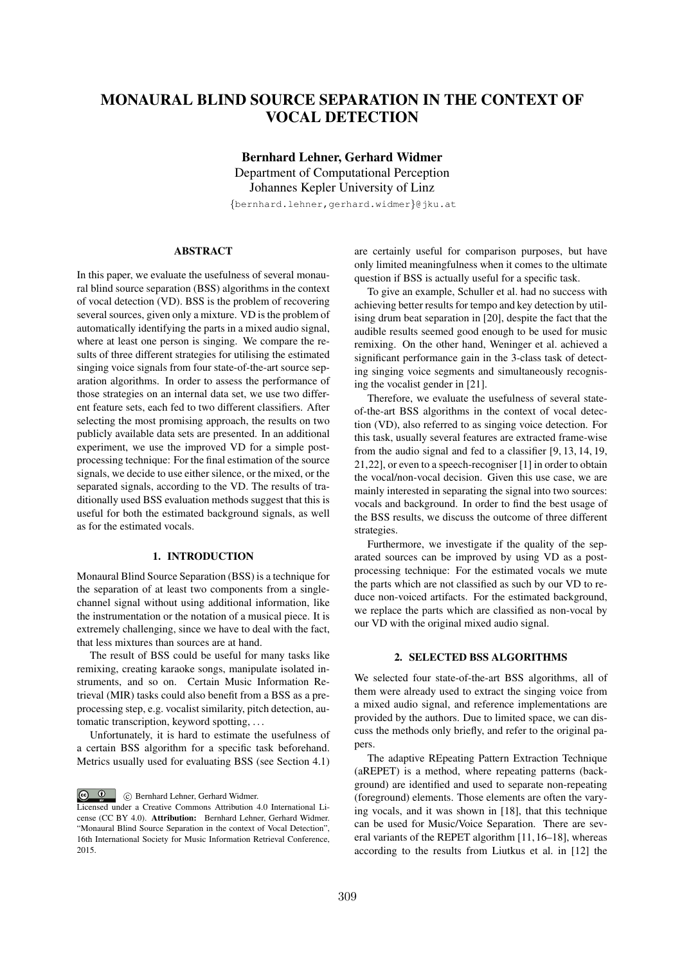# MONAURAL BLIND SOURCE SEPARATION IN THE CONTEXT OF VOCAL DETECTION

Bernhard Lehner, Gerhard Widmer Department of Computational Perception Johannes Kepler University of Linz *{*bernhard.lehner,gerhard.widmer*}*@jku.at

# ABSTRACT

In this paper, we evaluate the usefulness of several monaural blind source separation (BSS) algorithms in the context of vocal detection (VD). BSS is the problem of recovering several sources, given only a mixture. VD is the problem of automatically identifying the parts in a mixed audio signal, where at least one person is singing. We compare the results of three different strategies for utilising the estimated singing voice signals from four state-of-the-art source separation algorithms. In order to assess the performance of those strategies on an internal data set, we use two different feature sets, each fed to two different classifiers. After selecting the most promising approach, the results on two publicly available data sets are presented. In an additional experiment, we use the improved VD for a simple postprocessing technique: For the final estimation of the source signals, we decide to use either silence, or the mixed, or the separated signals, according to the VD. The results of traditionally used BSS evaluation methods suggest that this is useful for both the estimated background signals, as well as for the estimated vocals.

# 1. INTRODUCTION

Monaural Blind Source Separation (BSS) is a technique for the separation of at least two components from a singlechannel signal without using additional information, like the instrumentation or the notation of a musical piece. It is extremely challenging, since we have to deal with the fact, that less mixtures than sources are at hand.

The result of BSS could be useful for many tasks like remixing, creating karaoke songs, manipulate isolated instruments, and so on. Certain Music Information Retrieval (MIR) tasks could also benefit from a BSS as a preprocessing step, e.g. vocalist similarity, pitch detection, automatic transcription, keyword spotting, ...

Unfortunately, it is hard to estimate the usefulness of a certain BSS algorithm for a specific task beforehand. Metrics usually used for evaluating BSS (see Section 4.1)

 $\circledcirc$   $\circledcirc$ c Bernhard Lehner, Gerhard Widmer. are certainly useful for comparison purposes, but have only limited meaningfulness when it comes to the ultimate question if BSS is actually useful for a specific task.

To give an example, Schuller et al. had no success with achieving better results for tempo and key detection by utilising drum beat separation in [20], despite the fact that the audible results seemed good enough to be used for music remixing. On the other hand, Weninger et al. achieved a significant performance gain in the 3-class task of detecting singing voice segments and simultaneously recognising the vocalist gender in [21].

Therefore, we evaluate the usefulness of several stateof-the-art BSS algorithms in the context of vocal detection (VD), also referred to as singing voice detection. For this task, usually several features are extracted frame-wise from the audio signal and fed to a classifier [9, 13, 14, 19, 21,22], or even to a speech-recogniser [1] in order to obtain the vocal/non-vocal decision. Given this use case, we are mainly interested in separating the signal into two sources: vocals and background. In order to find the best usage of the BSS results, we discuss the outcome of three different strategies.

Furthermore, we investigate if the quality of the separated sources can be improved by using VD as a postprocessing technique: For the estimated vocals we mute the parts which are not classified as such by our VD to reduce non-voiced artifacts. For the estimated background, we replace the parts which are classified as non-vocal by our VD with the original mixed audio signal.

# 2. SELECTED BSS ALGORITHMS

We selected four state-of-the-art BSS algorithms, all of them were already used to extract the singing voice from a mixed audio signal, and reference implementations are provided by the authors. Due to limited space, we can discuss the methods only briefly, and refer to the original papers.

The adaptive REpeating Pattern Extraction Technique (aREPET) is a method, where repeating patterns (background) are identified and used to separate non-repeating (foreground) elements. Those elements are often the varying vocals, and it was shown in [18], that this technique can be used for Music/Voice Separation. There are several variants of the REPET algorithm [11, 16–18], whereas according to the results from Liutkus et al. in [12] the

Licensed under a Creative Commons Attribution 4.0 International License (CC BY 4.0). Attribution: Bernhard Lehner, Gerhard Widmer. "Monaural Blind Source Separation in the context of Vocal Detection", 16th International Society for Music Information Retrieval Conference, 2015.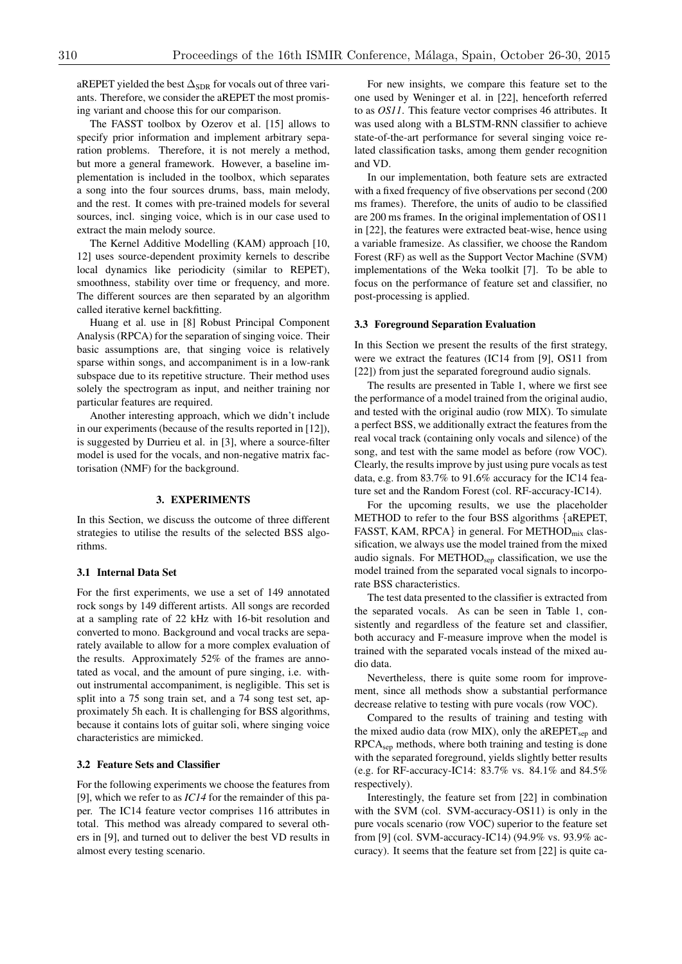aREPET yielded the best  $\Delta_{SDR}$  for vocals out of three variants. Therefore, we consider the aREPET the most promising variant and choose this for our comparison.

The FASST toolbox by Ozerov et al. [15] allows to specify prior information and implement arbitrary separation problems. Therefore, it is not merely a method, but more a general framework. However, a baseline implementation is included in the toolbox, which separates a song into the four sources drums, bass, main melody, and the rest. It comes with pre-trained models for several sources, incl. singing voice, which is in our case used to extract the main melody source.

The Kernel Additive Modelling (KAM) approach [10, 12] uses source-dependent proximity kernels to describe local dynamics like periodicity (similar to REPET), smoothness, stability over time or frequency, and more. The different sources are then separated by an algorithm called iterative kernel backfitting.

Huang et al. use in [8] Robust Principal Component Analysis (RPCA) for the separation of singing voice. Their basic assumptions are, that singing voice is relatively sparse within songs, and accompaniment is in a low-rank subspace due to its repetitive structure. Their method uses solely the spectrogram as input, and neither training nor particular features are required.

Another interesting approach, which we didn't include in our experiments (because of the results reported in [12]), is suggested by Durrieu et al. in [3], where a source-filter model is used for the vocals, and non-negative matrix factorisation (NMF) for the background.

# 3. EXPERIMENTS

In this Section, we discuss the outcome of three different strategies to utilise the results of the selected BSS algorithms.

#### 3.1 Internal Data Set

For the first experiments, we use a set of 149 annotated rock songs by 149 different artists. All songs are recorded at a sampling rate of 22 kHz with 16-bit resolution and converted to mono. Background and vocal tracks are separately available to allow for a more complex evaluation of the results. Approximately 52% of the frames are annotated as vocal, and the amount of pure singing, i.e. without instrumental accompaniment, is negligible. This set is split into a 75 song train set, and a 74 song test set, approximately 5h each. It is challenging for BSS algorithms, because it contains lots of guitar soli, where singing voice characteristics are mimicked.

## 3.2 Feature Sets and Classifier

For the following experiments we choose the features from [9], which we refer to as *IC14* for the remainder of this paper. The IC14 feature vector comprises 116 attributes in total. This method was already compared to several others in [9], and turned out to deliver the best VD results in almost every testing scenario.

For new insights, we compare this feature set to the one used by Weninger et al. in [22], henceforth referred to as *OS11*. This feature vector comprises 46 attributes. It was used along with a BLSTM-RNN classifier to achieve state-of-the-art performance for several singing voice related classification tasks, among them gender recognition and VD.

In our implementation, both feature sets are extracted with a fixed frequency of five observations per second (200 ms frames). Therefore, the units of audio to be classified are 200 ms frames. In the original implementation of OS11 in [22], the features were extracted beat-wise, hence using a variable framesize. As classifier, we choose the Random Forest (RF) as well as the Support Vector Machine (SVM) implementations of the Weka toolkit [7]. To be able to focus on the performance of feature set and classifier, no post-processing is applied.

#### 3.3 Foreground Separation Evaluation

In this Section we present the results of the first strategy, were we extract the features (IC14 from [9], OS11 from [22]) from just the separated foreground audio signals.

The results are presented in Table 1, where we first see the performance of a model trained from the original audio, and tested with the original audio (row MIX). To simulate a perfect BSS, we additionally extract the features from the real vocal track (containing only vocals and silence) of the song, and test with the same model as before (row VOC). Clearly, the results improve by just using pure vocals as test data, e.g. from 83.7% to 91.6% accuracy for the IC14 feature set and the Random Forest (col. RF-accuracy-IC14).

For the upcoming results, we use the placeholder METHOD to refer to the four BSS algorithms *{*aREPET, FASST, KAM, RPCA<sup>}</sup> in general. For METHOD<sub>mix</sub> classification, we always use the model trained from the mixed audio signals. For METHOD<sub>sep</sub> classification, we use the model trained from the separated vocal signals to incorporate BSS characteristics.

The test data presented to the classifier is extracted from the separated vocals. As can be seen in Table 1, consistently and regardless of the feature set and classifier, both accuracy and F-measure improve when the model is trained with the separated vocals instead of the mixed audio data.

Nevertheless, there is quite some room for improvement, since all methods show a substantial performance decrease relative to testing with pure vocals (row VOC).

Compared to the results of training and testing with the mixed audio data (row MIX), only the a $REPET<sub>sep</sub>$  and RPCAsep methods, where both training and testing is done with the separated foreground, yields slightly better results (e.g. for RF-accuracy-IC14: 83.7% vs. 84.1% and 84.5% respectively).

Interestingly, the feature set from [22] in combination with the SVM (col. SVM-accuracy-OS11) is only in the pure vocals scenario (row VOC) superior to the feature set from [9] (col. SVM-accuracy-IC14) (94.9% vs. 93.9% accuracy). It seems that the feature set from [22] is quite ca-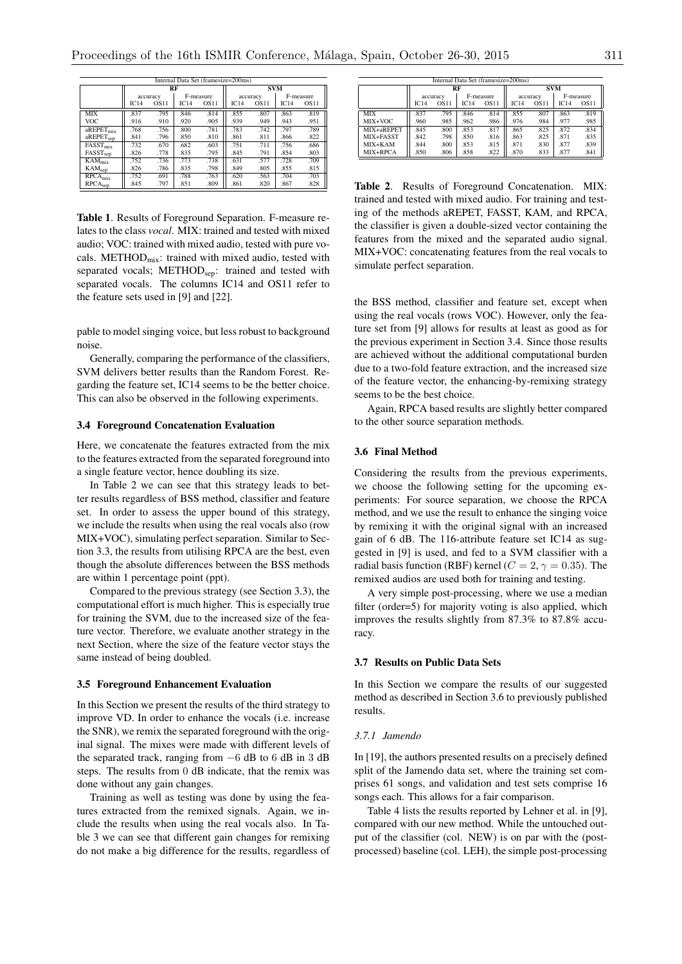| Internal Data Set (framesize=200ms)    |          |             |           |             |            |             |           |             |  |
|----------------------------------------|----------|-------------|-----------|-------------|------------|-------------|-----------|-------------|--|
|                                        |          |             | RF        |             | <b>SVM</b> |             |           |             |  |
|                                        | accuracy |             | F-measure |             | accuracy   |             | F-measure |             |  |
|                                        | IC14     | <b>OS11</b> | IC14      | <b>OS11</b> | IC14       | <b>OS11</b> | IC14      | <b>OS11</b> |  |
| MIX                                    | .837     | .795        | .846      | .814        | .855       | .807        | .863      | .819        |  |
| <b>VOC</b>                             | .916     | .910        | .920      | .905        | .939       | .949        | .943      | .951        |  |
| $a$ REPET $_{mix}$                     | .768     | .756        | .800      | .781        | .783       | .742        | .797      | .789        |  |
| aREPET <sub>sep</sub>                  | .841     | .796        | .850      | .810        | .861       | .811        | .866      | .822        |  |
| $\overline{\text{FASST}}_{\text{mix}}$ | .732     | .670        | .682      | .603        | .751       | .711        | .756      | .686        |  |
| FASST <sub>sep</sub>                   | .826     | .778        | .835      | .795        | .845       | .791        | .854      | .803        |  |
| $\overline{K}AM_{mix}$                 | .752     | .736        | .773      | .738        | .631       | .577        | .728      | .709        |  |
| KAM <sub>sep</sub>                     | .826     | .786        | .835      | .798        | .849       | .805        | .855      | .815        |  |
| $\overline{\text{RPCA}}_{\text{mix}}$  | .752     | .691        | .788      | .763        | .620       | .563        | .704      | .703        |  |
| RPCA <sub>sep</sub>                    | .845     | .797        | .851      | .809        | .861       | .820        | .867      | .828        |  |

Table 1. Results of Foreground Separation. F-measure relates to the class *vocal*. MIX: trained and tested with mixed audio; VOC: trained with mixed audio, tested with pure vocals. METHOD $_{mix}$ : trained with mixed audio, tested with separated vocals; METHOD<sub>sep</sub>: trained and tested with separated vocals. The columns IC14 and OS11 refer to the feature sets used in [9] and [22].

pable to model singing voice, but less robust to background noise.

Generally, comparing the performance of the classifiers, SVM delivers better results than the Random Forest. Regarding the feature set, IC14 seems to be the better choice. This can also be observed in the following experiments.

#### 3.4 Foreground Concatenation Evaluation

Here, we concatenate the features extracted from the mix to the features extracted from the separated foreground into a single feature vector, hence doubling its size.

In Table 2 we can see that this strategy leads to better results regardless of BSS method, classifier and feature set. In order to assess the upper bound of this strategy, we include the results when using the real vocals also (row MIX+VOC), simulating perfect separation. Similar to Section 3.3, the results from utilising RPCA are the best, even though the absolute differences between the BSS methods are within 1 percentage point (ppt).

Compared to the previous strategy (see Section 3.3), the computational effort is much higher. This is especially true for training the SVM, due to the increased size of the feature vector. Therefore, we evaluate another strategy in the next Section, where the size of the feature vector stays the same instead of being doubled.

#### 3.5 Foreground Enhancement Evaluation

In this Section we present the results of the third strategy to improve VD. In order to enhance the vocals (i.e. increase the SNR), we remix the separated foreground with the original signal. The mixes were made with different levels of the separated track, ranging from  $-6$  dB to 6 dB in 3 dB steps. The results from 0 dB indicate, that the remix was done without any gain changes.

Training as well as testing was done by using the features extracted from the remixed signals. Again, we include the results when using the real vocals also. In Table 3 we can see that different gain changes for remixing do not make a big difference for the results, regardless of

| Internal Data Set (framesize=200ms) |          |      |           |             |            |             |           |             |  |
|-------------------------------------|----------|------|-----------|-------------|------------|-------------|-----------|-------------|--|
|                                     | RF       |      |           |             | <b>SVM</b> |             |           |             |  |
|                                     | accuracy |      | F-measure |             | accuracy   |             | F-measure |             |  |
|                                     | IC14     | OS11 | IC.14     | <b>OS11</b> | IC14       | <b>OS11</b> | IC14      | <b>OS11</b> |  |
| <b>MIX</b>                          | .837     | .795 | .846      | .814        | .855       | .807        | .863      | .819        |  |
| MIX+VOC                             | .960     | .985 | .962      | .986        | .976       | .984        | .977      | .985        |  |
| MIX+aREPET                          | .845     | .800 | .853      | .817        | .865       | .825        | .872      | .834        |  |
| MIX+FASST                           | .842     | .798 | .850      | .816        | .863       | .825        | .871      | .835        |  |
| MIX+KAM                             | .844     | .800 | .853      | .815        | .871       | .830        | .877      | .839        |  |
| MIX+RPCA                            | .850     | .806 | .858      | .822        | .870       | .833        | .877      | .841        |  |

Table 2. Results of Foreground Concatenation. MIX: trained and tested with mixed audio. For training and testing of the methods aREPET, FASST, KAM, and RPCA, the classifier is given a double-sized vector containing the features from the mixed and the separated audio signal. MIX+VOC: concatenating features from the real vocals to simulate perfect separation.

the BSS method, classifier and feature set, except when using the real vocals (rows VOC). However, only the feature set from [9] allows for results at least as good as for the previous experiment in Section 3.4. Since those results are achieved without the additional computational burden due to a two-fold feature extraction, and the increased size of the feature vector, the enhancing-by-remixing strategy seems to be the best choice.

Again, RPCA based results are slightly better compared to the other source separation methods.

#### 3.6 Final Method

Considering the results from the previous experiments, we choose the following setting for the upcoming experiments: For source separation, we choose the RPCA method, and we use the result to enhance the singing voice by remixing it with the original signal with an increased gain of 6 dB. The 116-attribute feature set IC14 as suggested in [9] is used, and fed to a SVM classifier with a radial basis function (RBF) kernel ( $C = 2$ ,  $\gamma = 0.35$ ). The remixed audios are used both for training and testing.

A very simple post-processing, where we use a median filter (order=5) for majority voting is also applied, which improves the results slightly from 87.3% to 87.8% accuracy.

### 3.7 Results on Public Data Sets

In this Section we compare the results of our suggested method as described in Section 3.6 to previously published results.

### *3.7.1 Jamendo*

In [19], the authors presented results on a precisely defined split of the Jamendo data set, where the training set comprises 61 songs, and validation and test sets comprise 16 songs each. This allows for a fair comparison.

Table 4 lists the results reported by Lehner et al. in [9], compared with our new method. While the untouched output of the classifier (col. NEW) is on par with the (postprocessed) baseline (col. LEH), the simple post-processing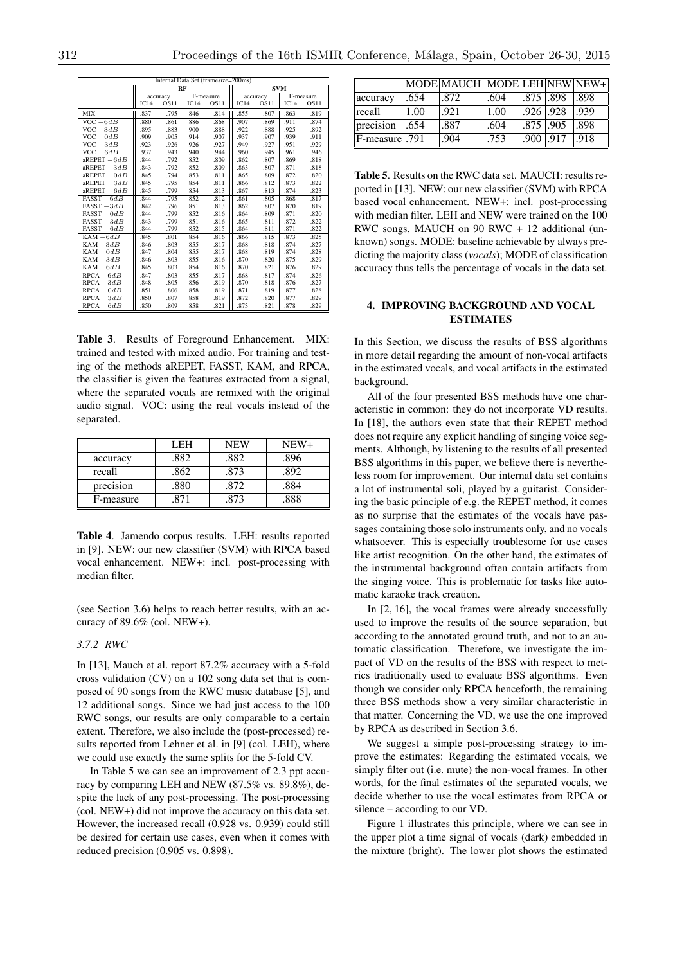| memar Data Set (mamesize=200ms)<br><b>SVM</b><br>RF |      |             |           |             |          |             |           |      |
|-----------------------------------------------------|------|-------------|-----------|-------------|----------|-------------|-----------|------|
|                                                     |      | accuracy    | F-measure |             | accuracy |             | F-measure |      |
|                                                     | IC14 | <b>OS11</b> | IC14      | <b>OS11</b> | IC14     | <b>OS11</b> | IC14      | OS11 |
| <b>MIX</b>                                          | .837 | .795        | .846      | .814        | .855     | .807        | .863      | .819 |
| $VOC - 6dB$                                         | .880 | .861        | .886      | .868        | .907     | .869        | .911      | .874 |
| $VOC - 3dB$                                         | .895 | .883        | .900      | .888        | .922     | .888        | .925      | .892 |
| <b>VOC</b><br>0dB                                   | .909 | .905        | .914      | .907        | .937     | .907        | .939      | .911 |
| <b>VOC</b><br>3dB                                   | .923 | .926        | .926      | .927        | .949     | .927        | .951      | .929 |
| <b>VOC</b><br>6dB                                   | .937 | .943        | .940      | .944        | .960     | .945        | .961      | .946 |
| $a$ REPET $-6dB$                                    | .844 | .792        | .852      | .809        | .862     | .807        | .869      | .818 |
| aREPET $-3dB$                                       | .843 | .792        | .852      | .809        | .863     | .807        | .871      | .818 |
| 0dB<br>aREPET                                       | .845 | .794        | .853      | .811        | .865     | .809        | .872      | .820 |
| 3dB<br>aREPET                                       | .845 | .795        | .854      | .811        | .866     | .812        | .873      | .822 |
| 6dB<br>aREPET                                       | .845 | .799        | .854      | .813        | .867     | .813        | .874      | .823 |
| $FAST-6dB$                                          | .844 | .795        | .852      | .812        | .861     | .805        | .868      | .817 |
| $FASST-3dB$                                         | .842 | .796        | .851      | .813        | .862     | .807        | .870      | .819 |
| <b>FASST</b><br>0dB                                 | .844 | .799        | .852      | .816        | .864     | .809        | .871      | .820 |
| 3dB<br><b>FASST</b>                                 | .843 | .799        | .851      | .816        | .865     | .811        | .872      | .822 |
| 6dB<br><b>FASST</b>                                 | .844 | .799        | .852      | .815        | .864     | .811        | .871      | .822 |
| $KAM - 6dB$                                         | .845 | .801        | .854      | .816        | .866     | .815        | .873      | .825 |
| $KAM - 3dB$                                         | .846 | .803        | .855      | .817        | .868     | .818        | .874      | .827 |
| <b>KAM</b><br>0dB                                   | .847 | .804        | .855      | .817        | .868     | .819        | .874      | .828 |
| <b>KAM</b><br>3dB                                   | .846 | .803        | .855      | .816        | .870     | .820        | .875      | .829 |
| 6dB<br><b>KAM</b>                                   | .845 | .803        | .854      | .816        | .870     | .821        | .876      | .829 |
| $RPCA - 6dB$                                        | .847 | .803        | .855      | .817        | .868     | .817        | .874      | .826 |
| $RPCA - 3dB$                                        | .848 | .805        | .856      | .819        | .870     | .818        | .876      | .827 |
| <b>RPCA</b><br>0dB                                  | .851 | .806        | .858      | .819        | .871     | .819        | .877      | .828 |
| <b>RPCA</b><br>3dB                                  | .850 | .807        | .858      | .819        | .872     | .820        | .877      | .829 |
| <b>RPCA</b><br>6dB                                  | .850 | .809        | .858      | .821        | .873     | .821        | .878      | .829 |

 $\overline{I}$ nternal Data Set (framesize=200ms)

Table 3. Results of Foreground Enhancement. MIX: trained and tested with mixed audio. For training and testing of the methods aREPET, FASST, KAM, and RPCA, the classifier is given the features extracted from a signal, where the separated vocals are remixed with the original audio signal. VOC: using the real vocals instead of the separated.

|           | I EH | <b>NEW</b> | $NEW+$ |
|-----------|------|------------|--------|
| accuracy  | .882 | .882       | .896   |
| recall    | .862 | .873       | .892   |
| precision | .880 | .872       | .884   |
| F-measure |      | 873        | .888   |

Table 4. Jamendo corpus results. LEH: results reported in [9]. NEW: our new classifier (SVM) with RPCA based vocal enhancement. NEW+: incl. post-processing with median filter.

(see Section 3.6) helps to reach better results, with an accuracy of 89.6% (col. NEW+).

## *3.7.2 RWC*

In [13], Mauch et al. report 87.2% accuracy with a 5-fold cross validation (CV) on a 102 song data set that is composed of 90 songs from the RWC music database [5], and 12 additional songs. Since we had just access to the 100 RWC songs, our results are only comparable to a certain extent. Therefore, we also include the (post-processed) results reported from Lehner et al. in [9] (col. LEH), where we could use exactly the same splits for the 5-fold CV.

In Table 5 we can see an improvement of 2.3 ppt accuracy by comparing LEH and NEW (87.5% vs. 89.8%), despite the lack of any post-processing. The post-processing (col. NEW+) did not improve the accuracy on this data set. However, the increased recall (0.928 vs. 0.939) could still be desired for certain use cases, even when it comes with reduced precision (0.905 vs. 0.898).

|               |      | MODE MAUCH MODE LEH NEW NEW+ |      |               |      |      |
|---------------|------|------------------------------|------|---------------|------|------|
| accuracy      | .654 | .872                         | .604 | 875 898       |      | .898 |
| recall        | 1.00 | .921                         | 1.00 | $.926$ .928   |      | .939 |
| precision     | .654 | .887                         | .604 | $.875$ $.905$ |      | .898 |
| F-measure 791 |      | .904                         | .753 | .900          | .917 | .918 |

Table 5. Results on the RWC data set. MAUCH: results reported in [13]. NEW: our new classifier (SVM) with RPCA based vocal enhancement. NEW+: incl. post-processing with median filter. LEH and NEW were trained on the 100 RWC songs, MAUCH on 90 RWC + 12 additional (unknown) songs. MODE: baseline achievable by always predicting the majority class (*vocals*); MODE of classification accuracy thus tells the percentage of vocals in the data set.

## 4. IMPROVING BACKGROUND AND VOCAL **ESTIMATES**

In this Section, we discuss the results of BSS algorithms in more detail regarding the amount of non-vocal artifacts in the estimated vocals, and vocal artifacts in the estimated background.

All of the four presented BSS methods have one characteristic in common: they do not incorporate VD results. In [18], the authors even state that their REPET method does not require any explicit handling of singing voice segments. Although, by listening to the results of all presented BSS algorithms in this paper, we believe there is nevertheless room for improvement. Our internal data set contains a lot of instrumental soli, played by a guitarist. Considering the basic principle of e.g. the REPET method, it comes as no surprise that the estimates of the vocals have passages containing those solo instruments only, and no vocals whatsoever. This is especially troublesome for use cases like artist recognition. On the other hand, the estimates of the instrumental background often contain artifacts from the singing voice. This is problematic for tasks like automatic karaoke track creation.

In [2, 16], the vocal frames were already successfully used to improve the results of the source separation, but according to the annotated ground truth, and not to an automatic classification. Therefore, we investigate the impact of VD on the results of the BSS with respect to metrics traditionally used to evaluate BSS algorithms. Even though we consider only RPCA henceforth, the remaining three BSS methods show a very similar characteristic in that matter. Concerning the VD, we use the one improved by RPCA as described in Section 3.6.

We suggest a simple post-processing strategy to improve the estimates: Regarding the estimated vocals, we simply filter out (i.e. mute) the non-vocal frames. In other words, for the final estimates of the separated vocals, we decide whether to use the vocal estimates from RPCA or silence – according to our VD.

Figure 1 illustrates this principle, where we can see in the upper plot a time signal of vocals (dark) embedded in the mixture (bright). The lower plot shows the estimated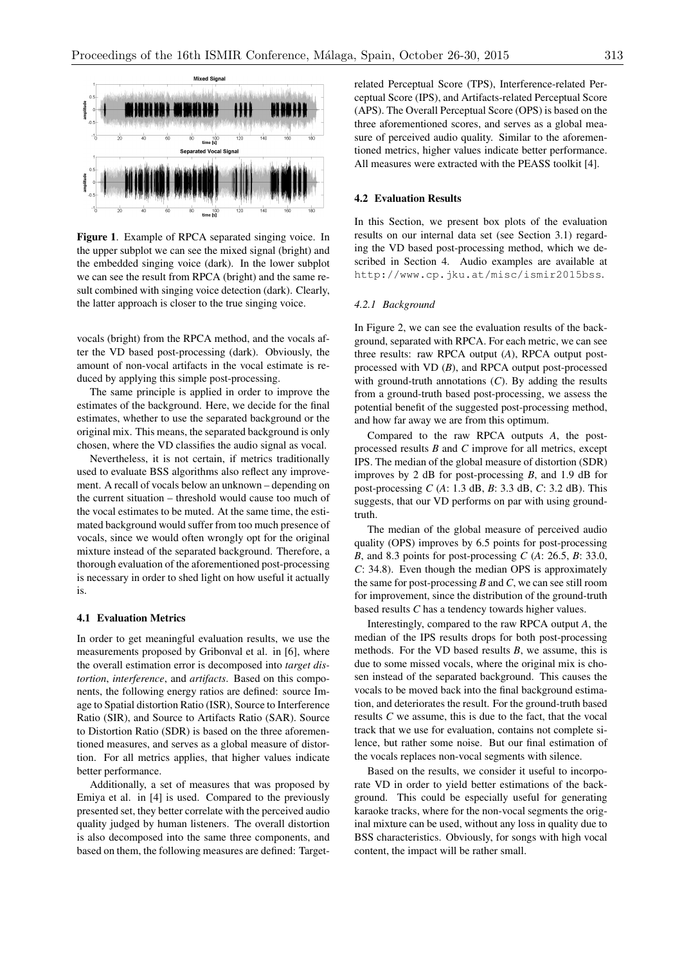

Figure 1. Example of RPCA separated singing voice. In the upper subplot we can see the mixed signal (bright) and the embedded singing voice (dark). In the lower subplot we can see the result from RPCA (bright) and the same result combined with singing voice detection (dark). Clearly, the latter approach is closer to the true singing voice.

vocals (bright) from the RPCA method, and the vocals after the VD based post-processing (dark). Obviously, the amount of non-vocal artifacts in the vocal estimate is reduced by applying this simple post-processing.

The same principle is applied in order to improve the estimates of the background. Here, we decide for the final estimates, whether to use the separated background or the original mix. This means, the separated background is only chosen, where the VD classifies the audio signal as vocal.

Nevertheless, it is not certain, if metrics traditionally used to evaluate BSS algorithms also reflect any improvement. A recall of vocals below an unknown – depending on the current situation – threshold would cause too much of the vocal estimates to be muted. At the same time, the estimated background would suffer from too much presence of vocals, since we would often wrongly opt for the original mixture instead of the separated background. Therefore, a thorough evaluation of the aforementioned post-processing is necessary in order to shed light on how useful it actually is.

## 4.1 Evaluation Metrics

In order to get meaningful evaluation results, we use the measurements proposed by Gribonval et al. in [6], where the overall estimation error is decomposed into *target distortion*, *interference*, and *artifacts*. Based on this components, the following energy ratios are defined: source Image to Spatial distortion Ratio (ISR), Source to Interference Ratio (SIR), and Source to Artifacts Ratio (SAR). Source to Distortion Ratio (SDR) is based on the three aforementioned measures, and serves as a global measure of distortion. For all metrics applies, that higher values indicate better performance.

Additionally, a set of measures that was proposed by Emiya et al. in [4] is used. Compared to the previously presented set, they better correlate with the perceived audio quality judged by human listeners. The overall distortion is also decomposed into the same three components, and based on them, the following measures are defined: Targetrelated Perceptual Score (TPS), Interference-related Perceptual Score (IPS), and Artifacts-related Perceptual Score (APS). The Overall Perceptual Score (OPS) is based on the three aforementioned scores, and serves as a global measure of perceived audio quality. Similar to the aforementioned metrics, higher values indicate better performance. All measures were extracted with the PEASS toolkit [4].

## 4.2 Evaluation Results

In this Section, we present box plots of the evaluation results on our internal data set (see Section 3.1) regarding the VD based post-processing method, which we described in Section 4. Audio examples are available at http://www.cp.jku.at/misc/ismir2015bss.

#### *4.2.1 Background*

In Figure 2, we can see the evaluation results of the background, separated with RPCA. For each metric, we can see three results: raw RPCA output (*A*), RPCA output postprocessed with VD (*B*), and RPCA output post-processed with ground-truth annotations (*C*). By adding the results from a ground-truth based post-processing, we assess the potential benefit of the suggested post-processing method, and how far away we are from this optimum.

Compared to the raw RPCA outputs *A*, the postprocessed results *B* and *C* improve for all metrics, except IPS. The median of the global measure of distortion (SDR) improves by 2 dB for post-processing *B*, and 1.9 dB for post-processing *C* (*A*: 1.3 dB, *B*: 3.3 dB, *C*: 3.2 dB). This suggests, that our VD performs on par with using groundtruth.

The median of the global measure of perceived audio quality (OPS) improves by 6.5 points for post-processing *B*, and 8.3 points for post-processing *C* (*A*: 26.5, *B*: 33.0, *C*: 34.8). Even though the median OPS is approximately the same for post-processing *B* and *C*, we can see still room for improvement, since the distribution of the ground-truth based results *C* has a tendency towards higher values.

Interestingly, compared to the raw RPCA output *A*, the median of the IPS results drops for both post-processing methods. For the VD based results *B*, we assume, this is due to some missed vocals, where the original mix is chosen instead of the separated background. This causes the vocals to be moved back into the final background estimation, and deteriorates the result. For the ground-truth based results *C* we assume, this is due to the fact, that the vocal track that we use for evaluation, contains not complete silence, but rather some noise. But our final estimation of the vocals replaces non-vocal segments with silence.

Based on the results, we consider it useful to incorporate VD in order to yield better estimations of the background. This could be especially useful for generating karaoke tracks, where for the non-vocal segments the original mixture can be used, without any loss in quality due to BSS characteristics. Obviously, for songs with high vocal content, the impact will be rather small.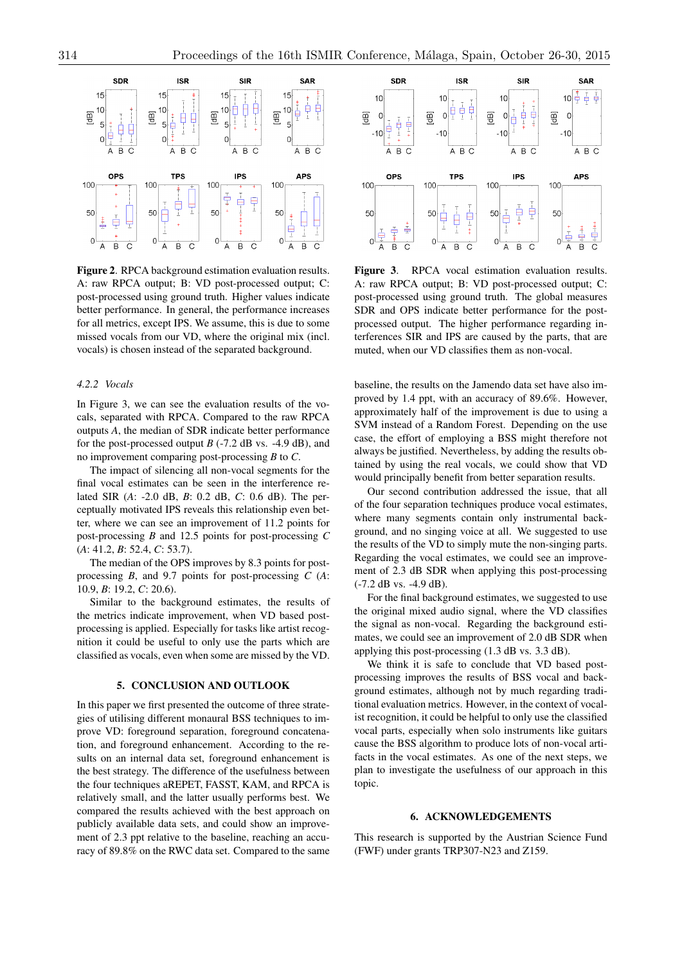

Figure 2. RPCA background estimation evaluation results. A: raw RPCA output; B: VD post-processed output; C: post-processed using ground truth. Higher values indicate better performance. In general, the performance increases for all metrics, except IPS. We assume, this is due to some missed vocals from our VD, where the original mix (incl. vocals) is chosen instead of the separated background.

#### *4.2.2 Vocals*

In Figure 3, we can see the evaluation results of the vocals, separated with RPCA. Compared to the raw RPCA outputs *A*, the median of SDR indicate better performance for the post-processed output  $B$  (-7.2 dB vs. -4.9 dB), and no improvement comparing post-processing *B* to *C*.

The impact of silencing all non-vocal segments for the final vocal estimates can be seen in the interference related SIR (*A*: -2.0 dB, *B*: 0.2 dB, *C*: 0.6 dB). The perceptually motivated IPS reveals this relationship even better, where we can see an improvement of 11.2 points for post-processing *B* and 12.5 points for post-processing *C* (*A*: 41.2, *B*: 52.4, *C*: 53.7).

The median of the OPS improves by 8.3 points for postprocessing *B*, and 9.7 points for post-processing *C* (*A*: 10.9, *B*: 19.2, *C*: 20.6).

Similar to the background estimates, the results of the metrics indicate improvement, when VD based postprocessing is applied. Especially for tasks like artist recognition it could be useful to only use the parts which are classified as vocals, even when some are missed by the VD.

# 5. CONCLUSION AND OUTLOOK

In this paper we first presented the outcome of three strategies of utilising different monaural BSS techniques to improve VD: foreground separation, foreground concatenation, and foreground enhancement. According to the results on an internal data set, foreground enhancement is the best strategy. The difference of the usefulness between the four techniques aREPET, FASST, KAM, and RPCA is relatively small, and the latter usually performs best. We compared the results achieved with the best approach on publicly available data sets, and could show an improvement of 2.3 ppt relative to the baseline, reaching an accuracy of 89.8% on the RWC data set. Compared to the same



Figure 3. RPCA vocal estimation evaluation results. A: raw RPCA output; B: VD post-processed output; C: post-processed using ground truth. The global measures SDR and OPS indicate better performance for the postprocessed output. The higher performance regarding interferences SIR and IPS are caused by the parts, that are muted, when our VD classifies them as non-vocal.

baseline, the results on the Jamendo data set have also improved by 1.4 ppt, with an accuracy of 89.6%. However, approximately half of the improvement is due to using a SVM instead of a Random Forest. Depending on the use case, the effort of employing a BSS might therefore not always be justified. Nevertheless, by adding the results obtained by using the real vocals, we could show that VD would principally benefit from better separation results.

Our second contribution addressed the issue, that all of the four separation techniques produce vocal estimates, where many segments contain only instrumental background, and no singing voice at all. We suggested to use the results of the VD to simply mute the non-singing parts. Regarding the vocal estimates, we could see an improvement of 2.3 dB SDR when applying this post-processing (-7.2 dB vs. -4.9 dB).

For the final background estimates, we suggested to use the original mixed audio signal, where the VD classifies the signal as non-vocal. Regarding the background estimates, we could see an improvement of 2.0 dB SDR when applying this post-processing (1.3 dB vs. 3.3 dB).

We think it is safe to conclude that VD based postprocessing improves the results of BSS vocal and background estimates, although not by much regarding traditional evaluation metrics. However, in the context of vocalist recognition, it could be helpful to only use the classified vocal parts, especially when solo instruments like guitars cause the BSS algorithm to produce lots of non-vocal artifacts in the vocal estimates. As one of the next steps, we plan to investigate the usefulness of our approach in this topic.

#### 6. ACKNOWLEDGEMENTS

This research is supported by the Austrian Science Fund (FWF) under grants TRP307-N23 and Z159.